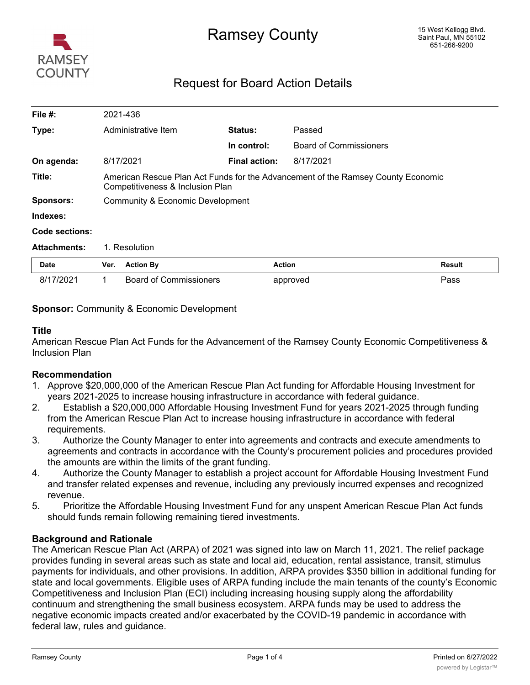

# Ramsey County

# Request for Board Action Details

| File #:             |                                                                                                                      | 2021-436                      |                      |                               |               |  |
|---------------------|----------------------------------------------------------------------------------------------------------------------|-------------------------------|----------------------|-------------------------------|---------------|--|
| Type:               |                                                                                                                      | Administrative Item           | <b>Status:</b>       | Passed                        |               |  |
|                     |                                                                                                                      |                               | In control:          | <b>Board of Commissioners</b> |               |  |
| On agenda:          |                                                                                                                      | 8/17/2021                     | <b>Final action:</b> | 8/17/2021                     |               |  |
| Title:              | American Rescue Plan Act Funds for the Advancement of the Ramsey County Economic<br>Competitiveness & Inclusion Plan |                               |                      |                               |               |  |
| <b>Sponsors:</b>    | Community & Economic Development                                                                                     |                               |                      |                               |               |  |
| Indexes:            |                                                                                                                      |                               |                      |                               |               |  |
| Code sections:      |                                                                                                                      |                               |                      |                               |               |  |
| <b>Attachments:</b> | 1. Resolution                                                                                                        |                               |                      |                               |               |  |
| <b>Date</b>         | Ver.                                                                                                                 | <b>Action By</b>              |                      | <b>Action</b>                 | <b>Result</b> |  |
| 8/17/2021           |                                                                                                                      | <b>Board of Commissioners</b> |                      | approved                      | Pass          |  |

# **Sponsor:** Community & Economic Development

# **Title**

American Rescue Plan Act Funds for the Advancement of the Ramsey County Economic Competitiveness & Inclusion Plan

# **Recommendation**

- 1. Approve \$20,000,000 of the American Rescue Plan Act funding for Affordable Housing Investment for years 2021-2025 to increase housing infrastructure in accordance with federal guidance.
- 2. Establish a \$20,000,000 Affordable Housing Investment Fund for years 2021-2025 through funding from the American Rescue Plan Act to increase housing infrastructure in accordance with federal requirements.
- 3. Authorize the County Manager to enter into agreements and contracts and execute amendments to agreements and contracts in accordance with the County's procurement policies and procedures provided the amounts are within the limits of the grant funding.
- 4. Authorize the County Manager to establish a project account for Affordable Housing Investment Fund and transfer related expenses and revenue, including any previously incurred expenses and recognized revenue.
- 5. Prioritize the Affordable Housing Investment Fund for any unspent American Rescue Plan Act funds should funds remain following remaining tiered investments.

# **Background and Rationale**

The American Rescue Plan Act (ARPA) of 2021 was signed into law on March 11, 2021. The relief package provides funding in several areas such as state and local aid, education, rental assistance, transit, stimulus payments for individuals, and other provisions. In addition, ARPA provides \$350 billion in additional funding for state and local governments. Eligible uses of ARPA funding include the main tenants of the county's Economic Competitiveness and Inclusion Plan (ECI) including increasing housing supply along the affordability continuum and strengthening the small business ecosystem. ARPA funds may be used to address the negative economic impacts created and/or exacerbated by the COVID-19 pandemic in accordance with federal law, rules and guidance.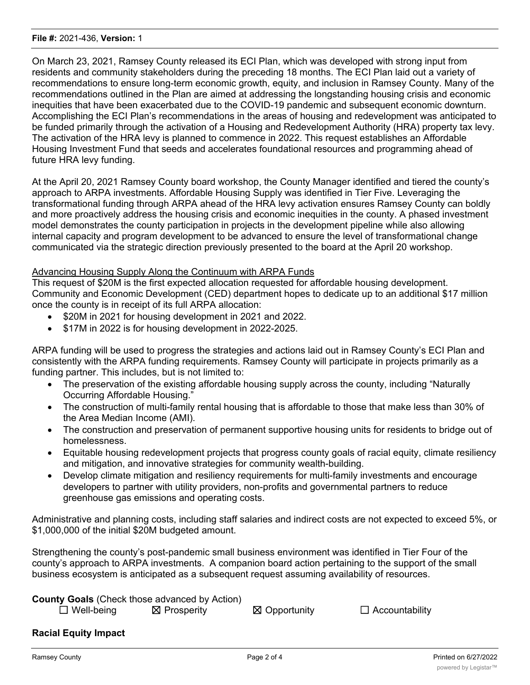On March 23, 2021, Ramsey County released its ECI Plan, which was developed with strong input from residents and community stakeholders during the preceding 18 months. The ECI Plan laid out a variety of recommendations to ensure long-term economic growth, equity, and inclusion in Ramsey County. Many of the recommendations outlined in the Plan are aimed at addressing the longstanding housing crisis and economic inequities that have been exacerbated due to the COVID-19 pandemic and subsequent economic downturn. Accomplishing the ECI Plan's recommendations in the areas of housing and redevelopment was anticipated to be funded primarily through the activation of a Housing and Redevelopment Authority (HRA) property tax levy. The activation of the HRA levy is planned to commence in 2022. This request establishes an Affordable Housing Investment Fund that seeds and accelerates foundational resources and programming ahead of future HRA levy funding.

At the April 20, 2021 Ramsey County board workshop, the County Manager identified and tiered the county's approach to ARPA investments. Affordable Housing Supply was identified in Tier Five. Leveraging the transformational funding through ARPA ahead of the HRA levy activation ensures Ramsey County can boldly and more proactively address the housing crisis and economic inequities in the county. A phased investment model demonstrates the county participation in projects in the development pipeline while also allowing internal capacity and program development to be advanced to ensure the level of transformational change communicated via the strategic direction previously presented to the board at the April 20 workshop.

# Advancing Housing Supply Along the Continuum with ARPA Funds

This request of \$20M is the first expected allocation requested for affordable housing development. Community and Economic Development (CED) department hopes to dedicate up to an additional \$17 million once the county is in receipt of its full ARPA allocation:

- · \$20M in 2021 for housing development in 2021 and 2022.
- \$17M in 2022 is for housing development in 2022-2025.

ARPA funding will be used to progress the strategies and actions laid out in Ramsey County's ECI Plan and consistently with the ARPA funding requirements. Ramsey County will participate in projects primarily as a funding partner. This includes, but is not limited to:

- The preservation of the existing affordable housing supply across the county, including "Naturally" Occurring Affordable Housing."
- · The construction of multi-family rental housing that is affordable to those that make less than 30% of the Area Median Income (AMI).
- The construction and preservation of permanent supportive housing units for residents to bridge out of homelessness.
- · Equitable housing redevelopment projects that progress county goals of racial equity, climate resiliency and mitigation, and innovative strategies for community wealth-building.
- · Develop climate mitigation and resiliency requirements for multi-family investments and encourage developers to partner with utility providers, non-profits and governmental partners to reduce greenhouse gas emissions and operating costs.

Administrative and planning costs, including staff salaries and indirect costs are not expected to exceed 5%, or \$1,000,000 of the initial \$20M budgeted amount.

Strengthening the county's post-pandemic small business environment was identified in Tier Four of the county's approach to ARPA investments. A companion board action pertaining to the support of the small business ecosystem is anticipated as a subsequent request assuming availability of resources.

| <b>County Goals (Check those advanced by Action)</b> |  |  |
|------------------------------------------------------|--|--|
|                                                      |  |  |

☐ Well-being ☒ Prosperity ☒ Opportunity ☐ Accountability

# **Racial Equity Impact**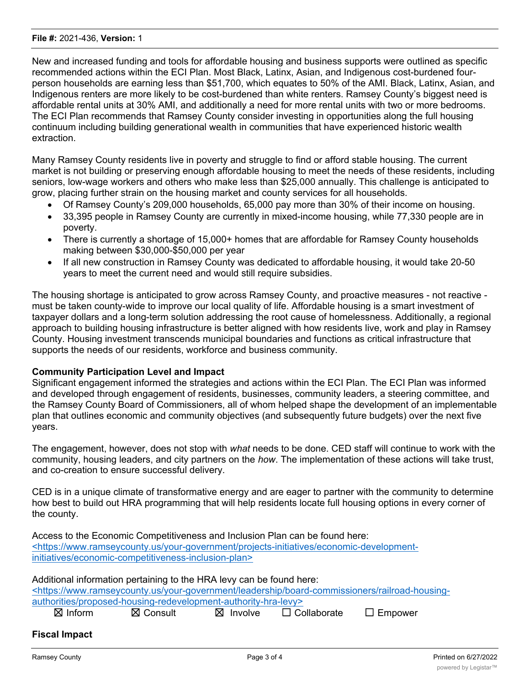#### **File #:** 2021-436, **Version:** 1

New and increased funding and tools for affordable housing and business supports were outlined as specific recommended actions within the ECI Plan. Most Black, Latinx, Asian, and Indigenous cost-burdened fourperson households are earning less than \$51,700, which equates to 50% of the AMI. Black, Latinx, Asian, and Indigenous renters are more likely to be cost-burdened than white renters. Ramsey County's biggest need is affordable rental units at 30% AMI, and additionally a need for more rental units with two or more bedrooms. The ECI Plan recommends that Ramsey County consider investing in opportunities along the full housing continuum including building generational wealth in communities that have experienced historic wealth extraction.

Many Ramsey County residents live in poverty and struggle to find or afford stable housing. The current market is not building or preserving enough affordable housing to meet the needs of these residents, including seniors, low-wage workers and others who make less than \$25,000 annually. This challenge is anticipated to grow, placing further strain on the housing market and county services for all households.

- Of Ramsey County's 209,000 households, 65,000 pay more than 30% of their income on housing.
- · 33,395 people in Ramsey County are currently in mixed-income housing, while 77,330 people are in poverty.
- There is currently a shortage of 15,000+ homes that are affordable for Ramsey County households making between \$30,000-\$50,000 per year
- · If all new construction in Ramsey County was dedicated to affordable housing, it would take 20-50 years to meet the current need and would still require subsidies.

The housing shortage is anticipated to grow across Ramsey County, and proactive measures - not reactive must be taken county-wide to improve our local quality of life. Affordable housing is a smart investment of taxpayer dollars and a long-term solution addressing the root cause of homelessness. Additionally, a regional approach to building housing infrastructure is better aligned with how residents live, work and play in Ramsey County. Housing investment transcends municipal boundaries and functions as critical infrastructure that supports the needs of our residents, workforce and business community.

# **Community Participation Level and Impact**

Significant engagement informed the strategies and actions within the ECI Plan. The ECI Plan was informed and developed through engagement of residents, businesses, community leaders, a steering committee, and the Ramsey County Board of Commissioners, all of whom helped shape the development of an implementable plan that outlines economic and community objectives (and subsequently future budgets) over the next five years.

The engagement, however, does not stop with *what* needs to be done. CED staff will continue to work with the community, housing leaders, and city partners on the *how*. The implementation of these actions will take trust, and co-creation to ensure successful delivery.

CED is in a unique climate of transformative energy and are eager to partner with the community to determine how best to build out HRA programming that will help residents locate full housing options in every corner of the county.

Access to the Economic Competitiveness and Inclusion Plan can be found here: <https://www.ramseycounty.us/your-government/projects-initiatives/economic-developmentinitiatives/economic-competitiveness-inclusion-plan>

Additional information pertaining to the HRA levy can be found here: <https://www.ramseycounty.us/your-government/leadership/board-commissioners/railroad-housingauthorities/proposed-housing-redevelopment-authority-hra-levy> ☒ Inform ☒ Consult ☒ Involve ☐ Collaborate ☐ Empower

# **Fiscal Impact**